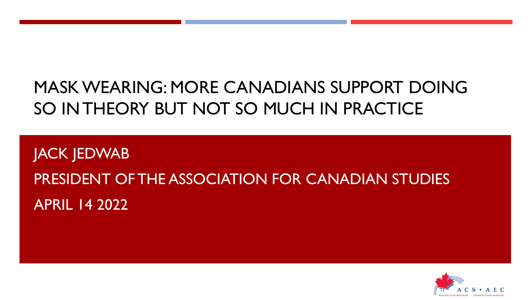## MASK WEARING: MORE CANADIANS SUPPORT DOING SO IN THEORY BUT NOT SO MUCH IN PRACTICE

JACK JEDWAB PRESIDENT OF THE ASSOCIATION FOR CANADIAN STUDIES APRIL 14 2022

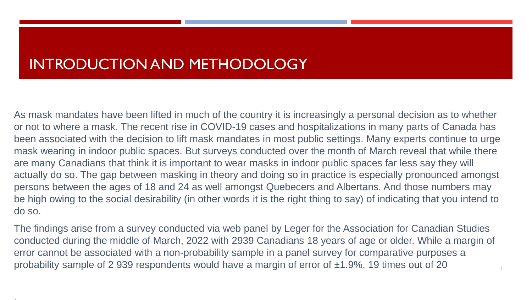## INTRODUCTION AND METHODOLOGY

As mask mandates have been lifted in much of the country it is increasingly a personal decision as to whether or not to where a mask. The recent rise in COVID-19 cases and hospitalizations in many parts of Canada has been associated with the decision to lift mask mandates in most public settings. Many experts continue to urge mask wearing in indoor public spaces. But surveys conducted over the month of March reveal that while there are many Canadians that think it is important to wear masks in indoor public spaces far less say they will actually do so. The gap between masking in theory and doing so in practice is especially pronounced amongst persons between the ages of 18 and 24 as well amongst Quebecers and Albertans. And those numbers may be high owing to the social desirability (in other words it is the right thing to say) of indicating that you intend to do so.

The findings arise from a survey conducted via web panel by Leger for the Association for Canadian Studies conducted during the middle of March, 2022 with 2939 Canadians 18 years of age or older. While a margin of error cannot be associated with a non-probability sample in a panel survey for comparative purposes a probability sample of 2 939 respondents would have a margin of error of ±1.9%, 19 times out of 20

2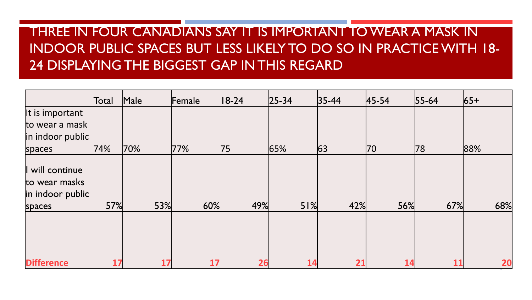## THREE IN FOUR CANADIANS SAY IT IS IMPORTANT TO WEAR A MASK IN INDOOR PUBLIC SPACES BUT LESS LIKELY TO DO SO IN PRACTICE WITH 18- 24 DISPLAYING THE BIGGEST GAP IN THIS REGARD

|                                                                | Total | Male | Female | $ 18-24 $ | $ 25 - 34 $ | $ 35 - 44 $ | $45 - 54$ | $55 - 64$ | $ 65+$ |
|----------------------------------------------------------------|-------|------|--------|-----------|-------------|-------------|-----------|-----------|--------|
| It is important                                                |       |      |        |           |             |             |           |           |        |
| to wear a mask                                                 |       |      |        |           |             |             |           |           |        |
| in indoor public                                               |       |      |        |           |             |             |           |           |        |
| spaces                                                         | 74%   | 70%  | 77%    | 75        | 65%         | 63          | 70        | 78        | 88%    |
| I will continue<br>to wear masks<br>in indoor public<br>spaces | 57%   | 53%  | 60%    | 49%       | 51%         | 42%         | 56%       | 67%       | 68%    |
| <b>Difference</b>                                              | 17    | 17   | 17     | 26        | 14          | 21          | 14        | 11        | 20     |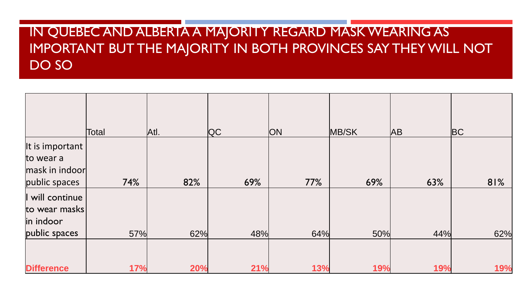## IN QUEBEC AND ALBERTA A MAJORITY REGARD MASK WEARING AS IMPORTANT BUT THE MAJORITY IN BOTH PROVINCES SAY THEY WILL NOT DO SO

|                                                                 | Total      | Atl. | QC  | <b>ON</b> | MB/SK | <b>AB</b> | <b>BC</b> |
|-----------------------------------------------------------------|------------|------|-----|-----------|-------|-----------|-----------|
| It is important<br>to wear a<br>mask in indoor<br>public spaces | 74%        | 82%  | 69% | 77%       | 69%   | 63%       | 81%       |
| I will continue<br>to wear masks<br>in indoor<br>public spaces  | 57%        | 62%  | 48% | 64%       | 50%   | 44%       | 62%       |
| <b>Difference</b>                                               | <b>17%</b> | 20%  | 21% | 13%       | 19%   | 19%       | 19%       |